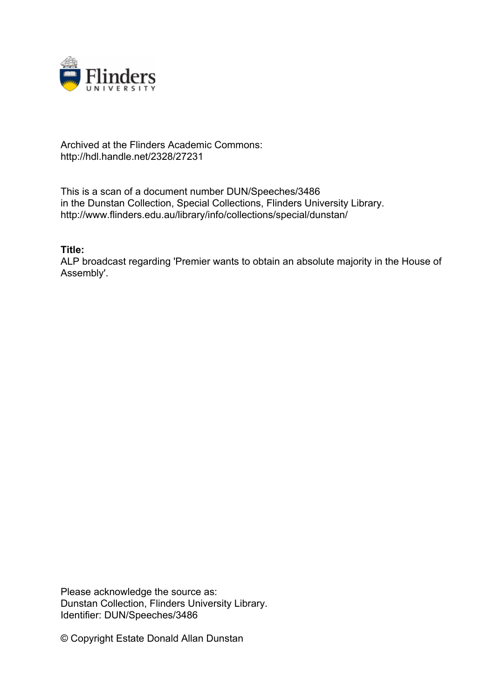

## Archived at the Flinders Academic Commons: http://hdl.handle.net/2328/27231

This is a scan of a document number DUN/Speeches/3486 in the Dunstan Collection, Special Collections, Flinders University Library. http://www.flinders.edu.au/library/info/collections/special/dunstan/

**Title:**

ALP broadcast regarding 'Premier wants to obtain an absolute majority in the House of Assembly'.

Please acknowledge the source as: Dunstan Collection, Flinders University Library. Identifier: DUN/Speeches/3486

© Copyright Estate Donald Allan Dunstan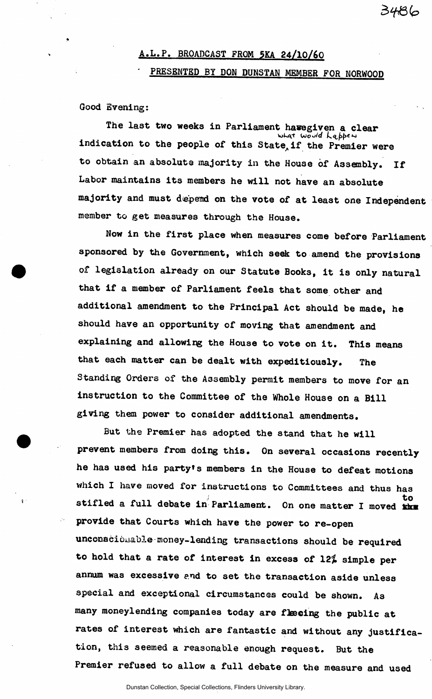## **A.L.P. BROADCAST FROM 5KA 24/10/&0**  PRESENTED BY DON DUNSTAN MEMBER FOR NORWOOD

3486

**Good Evening:** 

The last two weeks in Parliament havegiven a clear<br>**What World Lappen indication to the people of this State^if the Premier were to obtain an absolute majority in the House of Assenbly. If Labor maintains its members he will not have an absolute majority and must depend on the vote of at least one Independent member to get measures through the House.** 

**Now in the first place when measures come before Parliament sponsored by the Government, which seek to amend the provisions of legislation already on our Statute Books, it is only natural that if a member of Parliament feels that some other and additional amendment to the Principal Act should be made, he should have an opportunity of moving that amendment and explaining and allowing the House to vote on it. This means that each matter can be dealt with expeditiously. The Standing Orders of the Assembly permit members to move for an instruction to the Committee of the Whole House on a Bill giving them power to consider additional amendments.** 

**But the Premier has adopted the stand that he will prevent members from doing this. On several occasions recently he has used his party's members in the House to defeat motions which I have moved for instructions to Committees and thus has to stifled a full debate in Parliament. On one matter I moved tin provide that Courts which have the power to re-open unconscionable money-lending transactions should be required to hold that a rate of interest in excess of 12% simple per annum was excessive and to set the transaction aside unless special and exceptional circumstances could be shown. As many moneylending companies today are ftecing the public at rates of interest which are fantastic and without any justification, this seemed a reasonable enough request. But the Premier refused to allow a full debate on the measure and used**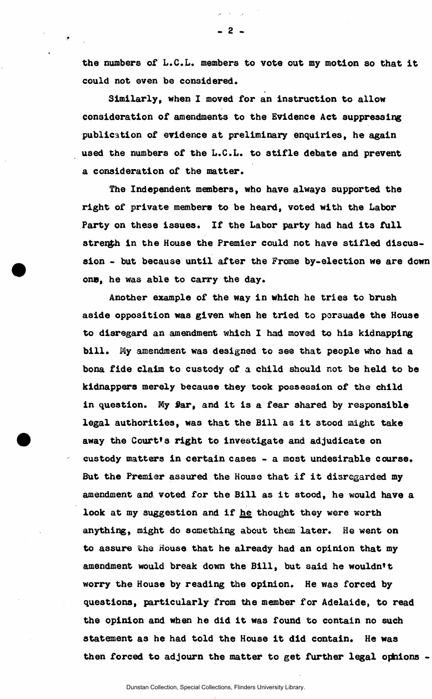**the numbers of L.C.L. members to vote out my motion so that it could not even be considered.** 

**Similarly, when I moved for an instruction to allow consideration of amendments to the Evidence Act suppressing publication of evidence at preliminary enquiries, he again used the numbers of the L.C.L. to stifle debate and prevent a consideration of the matter.** 

**The Independent members, who have always supported the right of private members to be heard, voted with the Labor Party on these issues. If the Labor party had had its full**  strenth in the House the Premier could not have stifled discus**sion - but because until after the Frome by-election we are down**  on**e**, he was able to carry the day.

**Another example of the way in which he tries to brush aside opposition was given when he tried to porsuade the House to disregard an amendment which I had moved to hi3 kidnapping bill. My amendment was designed to see that people who had a bona fide claim to custody of a child should not be held to be kidnappers merely because they took possession of the child in question. My fiar, and it is a fear shared by responsible legal authorities, was that the Bill as it 3tood might take away the Court\*s right to investigate and adjudicate on custody matters in certain cases - a most undesirable course. But the Premier assured the House that if it disregarded my amendment and. voted for the Bill as it stood, he would have a look at my suggestion and if he thought they were worth**  anything, might do something about them later. He went on **to assure the House that he already had an opinion that my amendment would break down the Bill, but said he wouldn't worry the House by reading the opinion. He was forced by questions, particularly from the member for Adelaide, to read the opinion and when he did it was found to contain no such statement as he had told the House it did contain. He was**  then forced to adjourn the matter to get further legal ophions -

- 2 -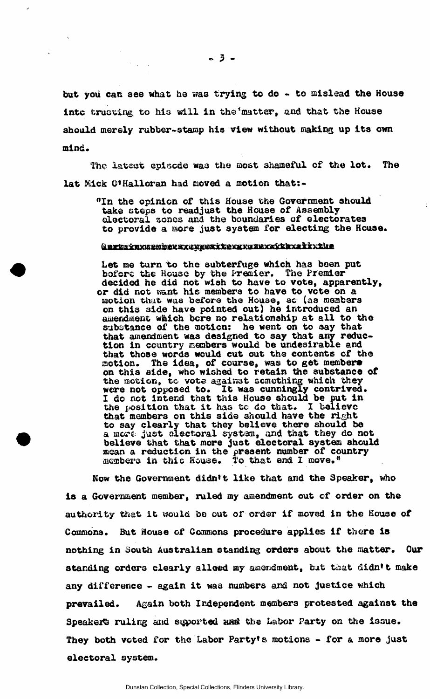**but you can see what he was trying to do - to mislead the House into trucking to his will in the''matter, and that the House should merely rubber-stamp his view without making up its own mind.** 

**The latest episode was the most shameful of the lot. The lat Mick Q'Halloran had moved a motion that:-**

**"In the opinion of this House the Government should take steps to readjust the House of Assembly electoral scncs and the boundaries of electorates to provide a more just system for electing the House.** 

## <u>Aurtstrummenderstandustrum (Aurtstrumterteilen ausgesichtet dem Ausgesichter ausgesichtet der Ausgesichte und d</u>

Let me turn to the subterfuge which has been put **bofers the House by the Premier. The Premier decided he did not wish to have to vote, apparently, or did not want his members to have to vote on a**  motion that was before the House, so (as members **on this 3ide have pointed out) he introduced an amendment which bore no relationship at all to the substance of the motion: he went on to say that that amendment was designed to say that any reduction in country members would be undesirable and that those words would eut out the contents of the**  motion. The idea, of course, was to get members **on this side, who wished to retain the substance of the motion, to vote against something which they**  It was cunningly contrived. **I do not intend that this House should be put in**  the position that it has to do that. I believe **that members on this side should have the right to say clearly that they believe there should be a more just electoral system, and that they do not believe that that more just electoral system should mean a reduction in the present number of country aieaabers in this Souse. To that end I move."** 

**Now the Government didn't like that and the Speaker, who is a Government member, ruled my amendment out cf order on the authority that it would be out of order if moved in the House of Commons. But House of Commons procedure applies if there is nothing in South Australian standing orders about the matter. Our**  standing orders clearly alloed my amendment, but that didn't make **any difference - again it was numbers and not justice which prevailed. Again both Independent members protested against the**  Speaker's ruling and suported and the Labor Party on the issue. **They both voted for the Labor Party's motions - for & more just electoral system.** 

 $-3 -$